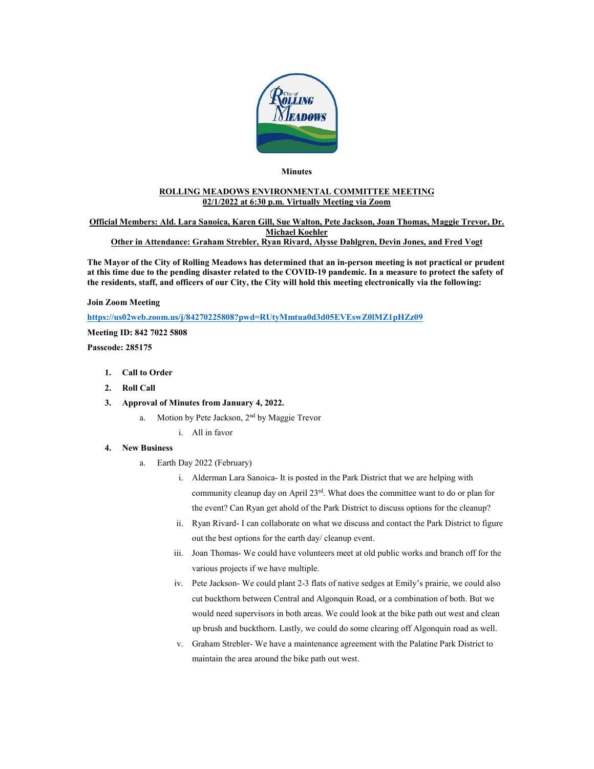

### **Minutes**

### **ROLLING MEADOWS ENVIRONMENTAL COMMITTEE MEETING 02/1/2022 at 6:30 p.m. Virtually Meeting via Zoom**

#### **Official Members: Ald. Lara Sanoica, Karen Gill, Sue Walton, Pete Jackson, Joan Thomas, Maggie Trevor, Dr. Michael Koehler Other in Attendance: Graham Strebler, Ryan Rivard, Alysse Dahlgren, Devin Jones, and Fred Vogt**

**The Mayor of the City of Rolling Meadows has determined that an in-person meeting is not practical or prudent at this time due to the pending disaster related to the COVID-19 pandemic. In a measure to protect the safety of the residents, staff, and officers of our City, the City will hold this meeting electronically via the following:**

#### **Join Zoom Meeting**

**<https://us02web.zoom.us/j/84270225808?pwd=RUtyMmtua0d3d05EVEswZ0lMZ1pHZz09>**

**Meeting ID: 842 7022 5808**

**Passcode: 285175**

- **1. Call to Order**
- **2. Roll Call**
- **3. Approval of Minutes from January 4, 2022.**
	- a. Motion by Pete Jackson, 2<sup>nd</sup> by Maggie Trevor
		- i. All in favor

#### **4. New Business**

- a. Earth Day 2022 (February)
	- i. Alderman Lara Sanoica- It is posted in the Park District that we are helping with community cleanup day on April 23<sup>rd</sup>. What does the committee want to do or plan for the event? Can Ryan get ahold of the Park District to discuss options for the cleanup?
	- ii. Ryan Rivard- I can collaborate on what we discuss and contact the Park District to figure out the best options for the earth day/ cleanup event.
	- iii. Joan Thomas- We could have volunteers meet at old public works and branch off for the various projects if we have multiple.
	- iv. Pete Jackson- We could plant 2-3 flats of native sedges at Emily's prairie, we could also cut buckthorn between Central and Algonquin Road, or a combination of both. But we would need supervisors in both areas. We could look at the bike path out west and clean up brush and buckthorn. Lastly, we could do some clearing off Algonquin road as well.
	- v. Graham Strebler- We have a maintenance agreement with the Palatine Park District to maintain the area around the bike path out west.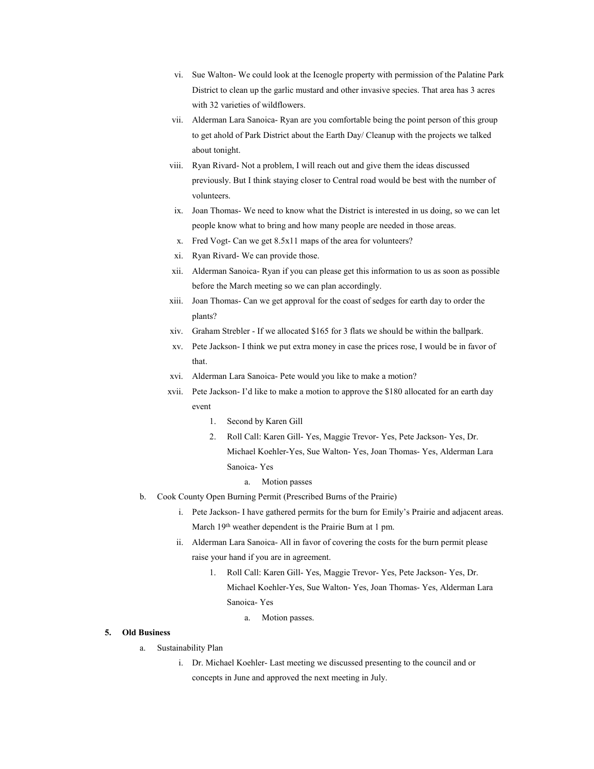- vi. Sue Walton- We could look at the Icenogle property with permission of the Palatine Park District to clean up the garlic mustard and other invasive species. That area has 3 acres with 32 varieties of wildflowers.
- vii. Alderman Lara Sanoica- Ryan are you comfortable being the point person of this group to get ahold of Park District about the Earth Day/ Cleanup with the projects we talked about tonight.
- viii. Ryan Rivard- Not a problem, I will reach out and give them the ideas discussed previously. But I think staying closer to Central road would be best with the number of volunteers.
- ix. Joan Thomas- We need to know what the District is interested in us doing, so we can let people know what to bring and how many people are needed in those areas.
- x. Fred Vogt- Can we get 8.5x11 maps of the area for volunteers?
- xi. Ryan Rivard- We can provide those.
- xii. Alderman Sanoica- Ryan if you can please get this information to us as soon as possible before the March meeting so we can plan accordingly.
- xiii. Joan Thomas- Can we get approval for the coast of sedges for earth day to order the plants?
- xiv. Graham Strebler If we allocated \$165 for 3 flats we should be within the ballpark.
- xv. Pete Jackson- I think we put extra money in case the prices rose, I would be in favor of that.
- xvi. Alderman Lara Sanoica- Pete would you like to make a motion?
- xvii. Pete Jackson- I'd like to make a motion to approve the \$180 allocated for an earth day event
	- 1. Second by Karen Gill
	- 2. Roll Call: Karen Gill- Yes, Maggie Trevor- Yes, Pete Jackson- Yes, Dr. Michael Koehler-Yes, Sue Walton- Yes, Joan Thomas- Yes, Alderman Lara Sanoica- Yes
		- a. Motion passes
- b. Cook County Open Burning Permit (Prescribed Burns of the Prairie)
	- i. Pete Jackson- I have gathered permits for the burn for Emily's Prairie and adjacent areas. March 19th weather dependent is the Prairie Burn at 1 pm.
	- ii. Alderman Lara Sanoica- All in favor of covering the costs for the burn permit please raise your hand if you are in agreement.
		- 1. Roll Call: Karen Gill- Yes, Maggie Trevor- Yes, Pete Jackson- Yes, Dr. Michael Koehler-Yes, Sue Walton- Yes, Joan Thomas- Yes, Alderman Lara Sanoica- Yes
			- a. Motion passes.

### **5. Old Business**

- a. Sustainability Plan
	- i. Dr. Michael Koehler- Last meeting we discussed presenting to the council and or concepts in June and approved the next meeting in July.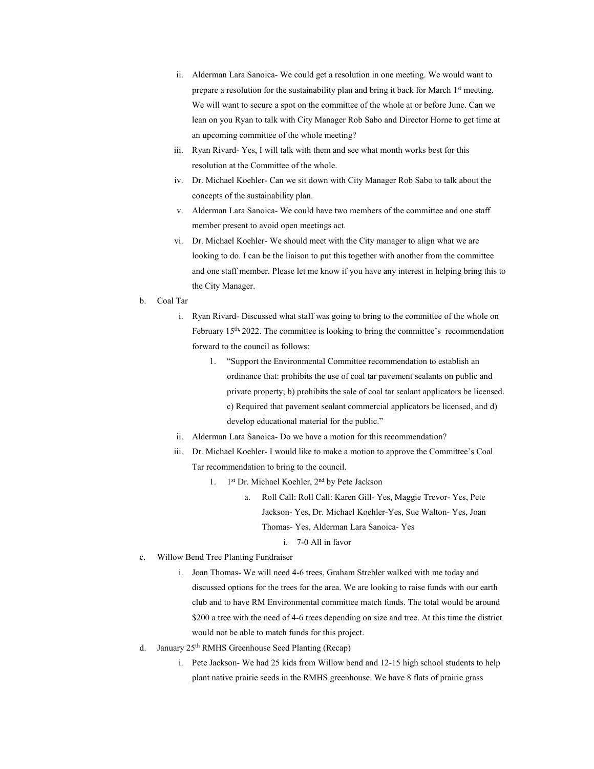- ii. Alderman Lara Sanoica- We could get a resolution in one meeting. We would want to prepare a resolution for the sustainability plan and bring it back for March 1<sup>st</sup> meeting. We will want to secure a spot on the committee of the whole at or before June. Can we lean on you Ryan to talk with City Manager Rob Sabo and Director Horne to get time at an upcoming committee of the whole meeting?
- iii. Ryan Rivard- Yes, I will talk with them and see what month works best for this resolution at the Committee of the whole.
- iv. Dr. Michael Koehler- Can we sit down with City Manager Rob Sabo to talk about the concepts of the sustainability plan.
- v. Alderman Lara Sanoica- We could have two members of the committee and one staff member present to avoid open meetings act.
- vi. Dr. Michael Koehler- We should meet with the City manager to align what we are looking to do. I can be the liaison to put this together with another from the committee and one staff member. Please let me know if you have any interest in helping bring this to the City Manager.
- b. Coal Tar
	- i. Ryan Rivard- Discussed what staff was going to bring to the committee of the whole on February 15<sup>th, 2022. The committee is looking to bring the committee's recommendation</sup> forward to the council as follows:
		- 1. "Support the Environmental Committee recommendation to establish an ordinance that: prohibits the use of coal tar pavement sealants on public and private property; b) prohibits the sale of coal tar sealant applicators be licensed. c) Required that pavement sealant commercial applicators be licensed, and d) develop educational material for the public."
	- ii. Alderman Lara Sanoica- Do we have a motion for this recommendation?
	- iii. Dr. Michael Koehler- I would like to make a motion to approve the Committee's Coal Tar recommendation to bring to the council.
		- 1. 1st Dr. Michael Koehler, 2nd by Pete Jackson
			- a. Roll Call: Roll Call: Karen Gill- Yes, Maggie Trevor- Yes, Pete Jackson- Yes, Dr. Michael Koehler-Yes, Sue Walton- Yes, Joan Thomas- Yes, Alderman Lara Sanoica- Yes
				- i. 7-0 All in favor
- c. Willow Bend Tree Planting Fundraiser
	- i. Joan Thomas- We will need 4-6 trees, Graham Strebler walked with me today and discussed options for the trees for the area. We are looking to raise funds with our earth club and to have RM Environmental committee match funds. The total would be around \$200 a tree with the need of 4-6 trees depending on size and tree. At this time the district would not be able to match funds for this project.
- d. January 25th RMHS Greenhouse Seed Planting (Recap)
	- i. Pete Jackson- We had 25 kids from Willow bend and 12-15 high school students to help plant native prairie seeds in the RMHS greenhouse. We have 8 flats of prairie grass